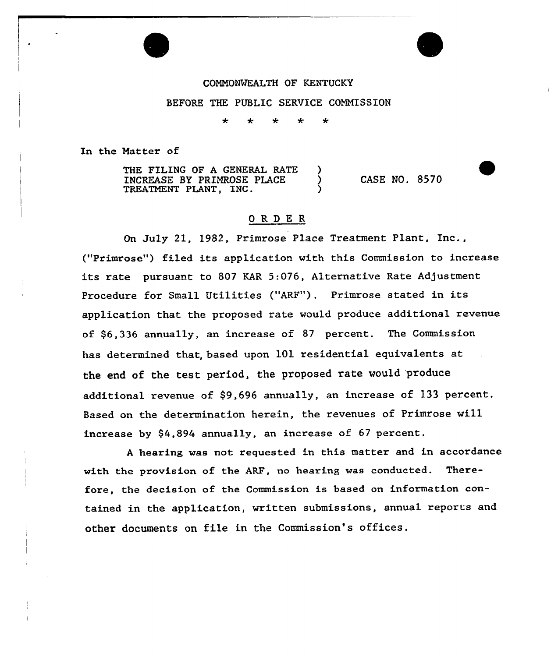# COMMONWEALTH OF KENTUCKY BEFORE THE PUBLIC SERVICE COMMISSION

÷  $\star$ 

In the Matter of

THE FILING OF A GENERAL RATE )<br>INCREASE BY PRIMROSE PLACE )<br>TREATMENT PLANT. INC. INCREASE BY PRIMROSE PLACE TREATMENT PLANT, INC. CASE NO. 8570

# ORDER

On July 21, 1982, Primrose Place Treatment Plant, Inc., ("Pximrose") filed its application with this Commission to increase its rate pursuant to 807 KAR 5:076, Alternative Rate Adjustment Procedure for Small Utilities ("ARF"). Primrose stated in its application that the proposed rate would produce additional revenue of \$6,336 annually, an increase of 8? pexcent. The Commission has determined that, based upon 101 residential equivalents at the end of the test period, the proposed rate would 'produce additional revenue of \$9,696 annually, an increase of 133 percent. Based on the determination herein, the revenues of Primrose wi11 increase by  $$4,894$  annually, an increase of 67 percent.

<sup>A</sup> hearing was not requested in this matter and in accordance with the provision of the ARF, no heaxing was conducted. Therefore, the decision of the Commission is based on information contained in the application, written submissions, annual reports and other documents on file in the Commission's offices.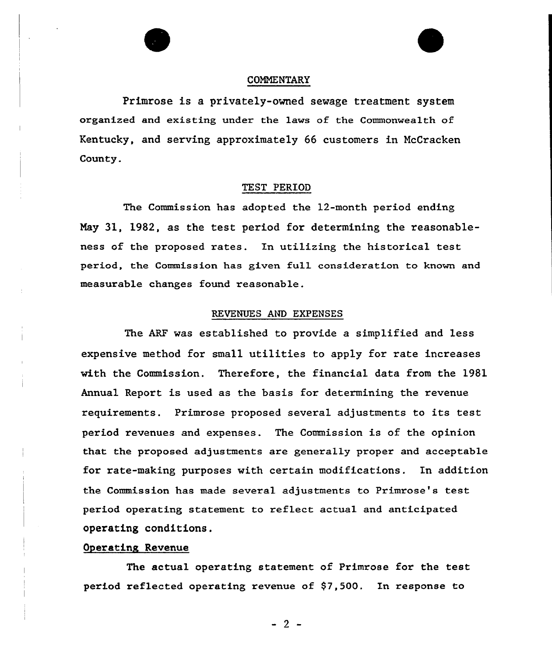



#### COMMENTARY

Primrose is a privately-owned sewage treatment system organized and existing under the laws of the Commonwealth of Kentucky, and serving approximately 66 customers in McCracken County.

## TEST PERIOD

The Commission has adopted the 12-month period ending Nay 31, 1982, as the test period for determining the reasonableness of the proposed rates. In utilizing the historical test period, the Commission has given full consideration to known and measurable changes found reasonable.

#### REVENUES AND EXPENSES

The ARF was established to provide a simplified and less expensive method for small utilities to apply for rate increases with the Commission. Therefore, the financial data from the 1981 Annual Report is used as the basis for determining the revenue requirements. Primrose proposed several adjustments to its test period revenues and expenses. The Commission is of the opinion that the proposed adjustments are generally proper and acceptable for rate-making purposes with certain modifications. In addition the Commission has made several adjustments to Primrose's test period operating statement to reflect actual and anticipated operating conditions.

## Operating Revenue

The actual operating statement of Primrose for the test period reflected operating revenue of  $$7,500$ . In response to

 $-2-$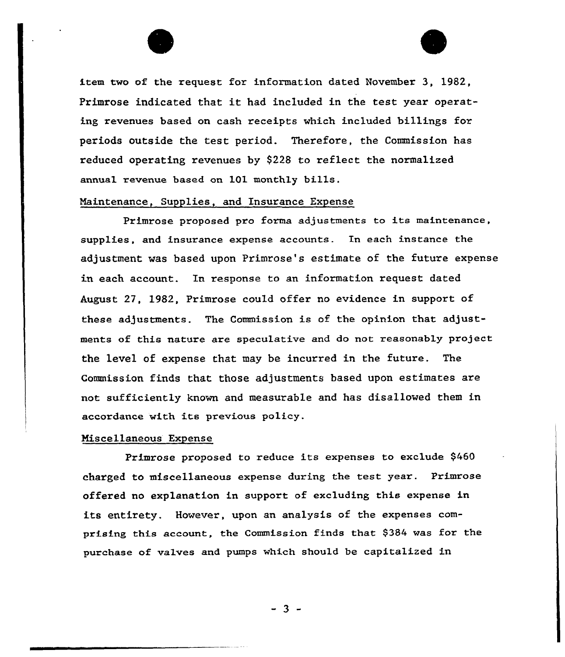

item two of the request for information dated November 3, 1982, Primrose indicated that it had included in the test year operating revenues based on cash receipts which included billings for periods outside the test period. Therefore, the Commission has reduced operating revenues by \$228 to reflect the normalized annual revenue based on lOl monthly bills.

## Maintenance, Supplies, and Insurance Expense

Primrose proposed pro forma adjustments to its maintenance, supplies, and insurance expense accounts. In each instance the adjustment was based upon Primrose's estimate of the future expense in each account. In response to an information request dated August 27, 1982, Primrose could offer no evidence in support of these adjustments. The Commission is of the opinion that adjustments of this nature are speculative and do not reasonably project the level of expense that may be incurred in the future. The Commission finds that those adjustments based upon estimates are not sufficiently known and measurable and has disallowed them in accordance with its previous policy.

#### Miscellaneous Expense

Primrose proposed to reduce its expenses to exclude \$460 charged to miscellaneous expense during the test year. Primrose offered no explanation in support of excluding this expense in its entirety. However, upon an analysis of the expenses comprising this account, the Commission finds that \$384 was for the purchase of valves and pumps which should be capitalized in

 $-3 -$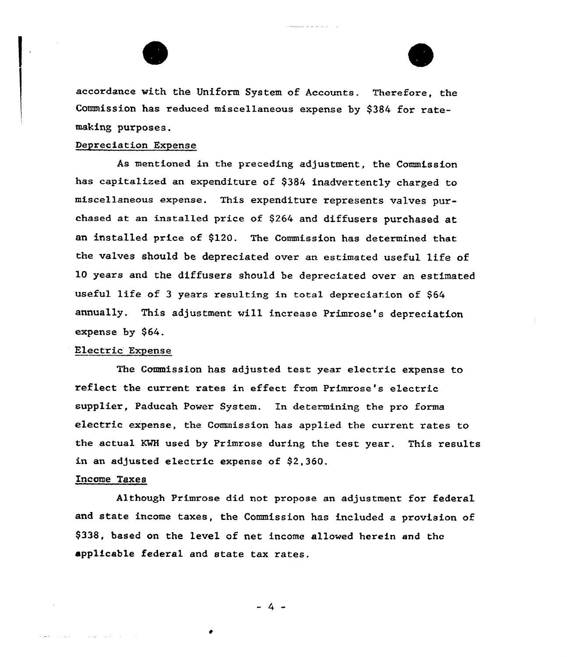



accordance with the Uniform System of Accounts. Therefore, the Commission has reduced miscellaneous expense by \$384 for ratemaking purposes.

## Depreciation Expense

As mentioned in the preceding adjustment, the Commission has capitalized an expenditure of \$384 inadvertently charged to miscellaneous expense. This expenditure represents valves purchased at an installed price of \$<sup>264</sup> and diffusers purchased at an installed price of \$120. The Commission has determined that the valves should be depreciated over an estimated useful life of 10 years and the diffusers should be depxeciated over an estimated useful life of 3 years resulting in total depreciation of \$64 annually. This adjustment will increase Primrose's depreciation expense by \$64.

## Electric Expense

The Commission has adjusted test year electric expense to reflect the current rates in effect from Primrose's electric supplier, Paducah Power System. In determining the pro forma electric expense, the Commission has applied the current rates to the actual KWH used by Primrose during the test year. This results in an adjusted electric expense of \$2,360.

## Income Taxes

Although Primrose did not propose an adjustment for federal and state income taxes, the Commission has included a provision of \$338, based on the level of net income allowed herein and the applicable federal and state tax rates.

 $-4 -$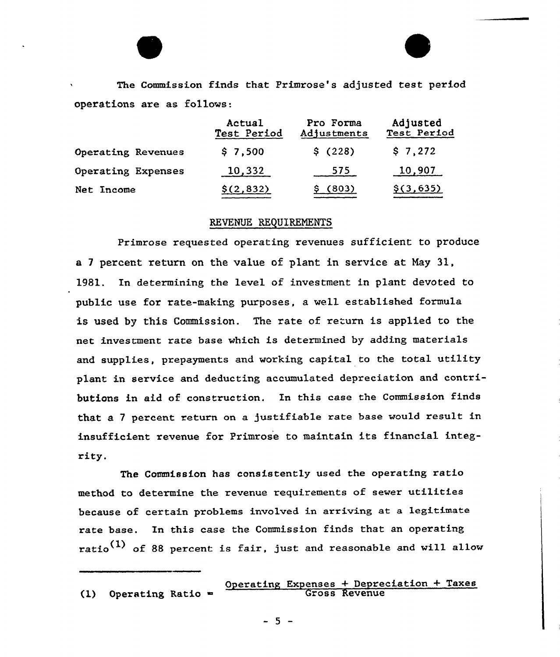The Commission finds that Primrose's adjusted test period operations are as follows:

|                    | Actual<br>Test Period | Pro Forma<br>Adjustments | Adjusted<br>Test Period |
|--------------------|-----------------------|--------------------------|-------------------------|
| Operating Revenues | \$7,500               | \$(228)                  | \$7,272                 |
| Operating Expenses | 10,332                | 575                      | 10,907                  |
| Net Income         | \$(2,832)             | (803)                    | \$(3,635)               |

#### REVENUE REQUIRENENTS

Primrose requested operating revenues sufficient to produce a <sup>7</sup> percent return on the value of plant in service at Nay 31, 1981. In determining the level of investment in plant devoted to public use for rate-making purposes, a well established formula is used by this Commission. The rate of return is applied to the net investment rate base which is determined by adding materials and supplies, prepayments and working capital to the total utility plant in service and deducting accumulated depreciation and contributions in aid of construction. In this case the Commission finds that a 7 percent return on a justifiable rate base would result in insufficient revenue for Primrose to maintain its financial integrity.

The Commission has consistently used the operating ratio method to determine the revenue requirements of sewer utilities because of certain problems involved in arriving at a legitimate rate base. In this case the Commission finds that an operating ratio<sup>(1)</sup> of 88 percent is fair, just and reasonable and will allow

(1) Operating Ratio

Operating Expenses + Depreciation + Taxes Gross Revenu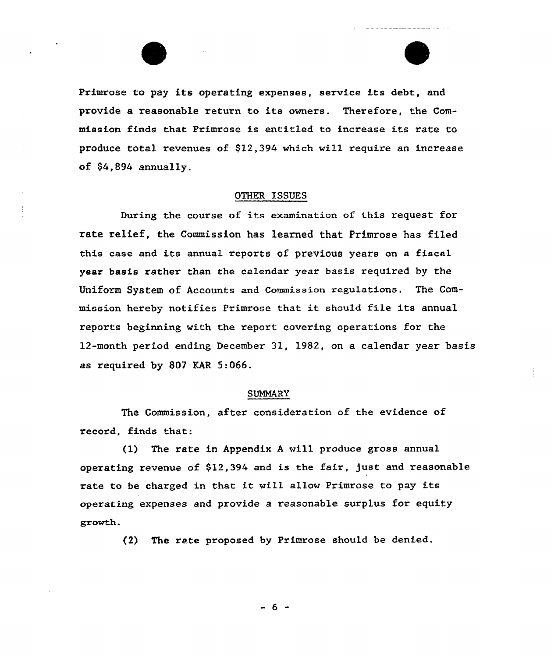

Primrose to pay its operating expenses, service its debt, and provide a reasonable return to its owners. Therefore, the Commission finds that Primrose is entitled to increase its rate to produce total revenues of \$12,394 which vill require an increase of \$4,894 annually.

#### OTHER ISSUES

During the course of its examination of this request for rate relief, the Commission has learned that Primrose has filed this case and its annual reports of previous years on a fiscal year basis rather than the calendar year basis required by the Uniform System of Accounts and Commission regulations. The Commission hereby notifies Primrose that it should file its annual reports beginning with the report covering operations for the 12-month period ending December 31, 1982, on a calendar year basis as required by 807 KAR 5:066.

#### SUMMARY

The Commission, after consideration of the evidence of record, finds that:

 $(1)$  The rate in Appendix A will produce gross annual operating revenue of \$12,394 and is the fair, just and reasonable rate to be charged in that it will allow Primrose to pay its operating expenses and provide a reasonable surplus for equity growth.

(2) The rate proposed by Primrose should be denied.

- 6 -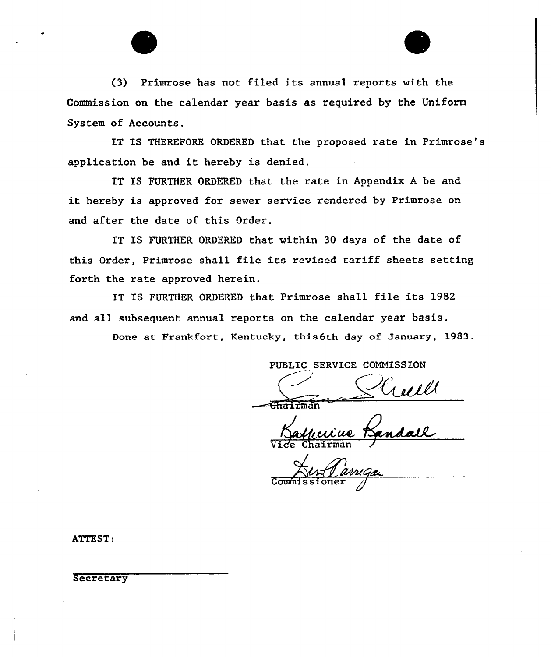

IT IS THEREFORE ORDERED that the proposed rate in Primrose's application be and it hereby is denied.

IT IS FURTHER ORDERED that the rate in Appendix <sup>A</sup> be and it hereby is approved for sewer service rendered by Primrose on and after the date of this Order.

IT IS FURTHER ORDERED that within 30 days of the date of this Order, Primrose shall file its revised tariff sheets setting forth the rate approved herein.

IT IS FURTHER ORDERED that Primrose shall file its 1982 and all subsequent annual reports on the calendar year basis.

Done at Frankfort, Kentucky, this6th day of January, 1983.

PUBLIC SERVICE COMMISSION

 $-$ Chairma

rell!<br>ndall <u>ccive</u> Vice Chairman

Commissione

ATTEST:

**Secretary**